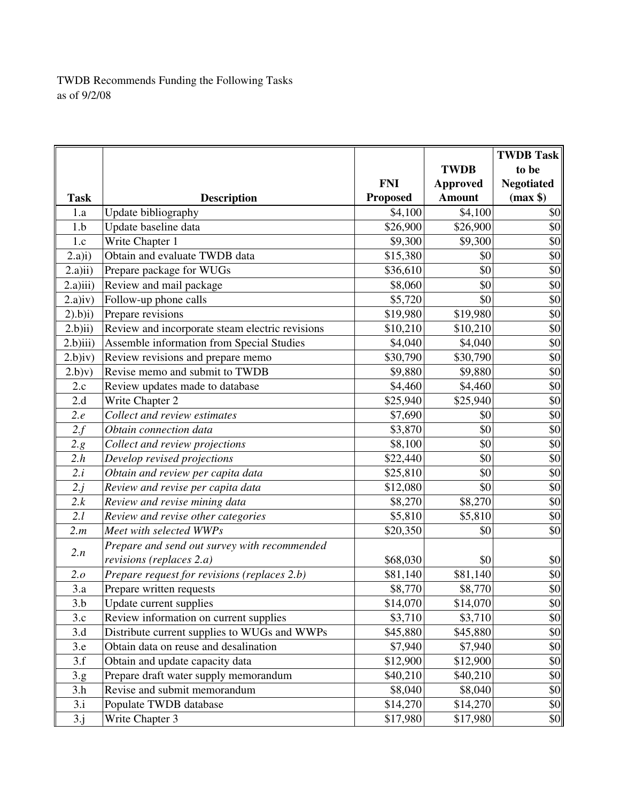TWDB Recommends Funding the Following Tasks as of 9/2/08

|             |                                                 | <b>FNI</b>      | <b>TWDB</b><br><b>Approved</b> | <b>TWDB Task</b><br>to be<br><b>Negotiated</b> |
|-------------|-------------------------------------------------|-----------------|--------------------------------|------------------------------------------------|
| <b>Task</b> | <b>Description</b>                              | <b>Proposed</b> | <b>Amount</b>                  | (max \$)                                       |
| 1.a         | Update bibliography                             | \$4,100         | \$4,100                        | \$0                                            |
| 1.b         | Update baseline data                            | \$26,900        | \$26,900                       | \$0                                            |
| 1.c         | Write Chapter 1                                 | \$9,300         | \$9,300                        | \$0                                            |
| (2.a)i)     | Obtain and evaluate TWDB data                   | \$15,380        | \$0                            | \$0                                            |
| 2.a)ii)     | Prepare package for WUGs                        | \$36,610        | \$0                            | \$0                                            |
| 2.a)iii)    | Review and mail package                         | \$8,060         | \$0                            | \$0                                            |
| $2.a)$ iv)  | Follow-up phone calls                           | \$5,720         | \$0                            | \$0                                            |
| $(2).b)$ i) | Prepare revisions                               | \$19,980        | \$19,980                       | \$0                                            |
| 2.b)ii)     | Review and incorporate steam electric revisions | \$10,210        | \$10,210                       | \$0                                            |
| $2.b)$ iii) | Assemble information from Special Studies       | \$4,040         | \$4,040                        | \$0                                            |
| $2.b)$ iv)  | Review revisions and prepare memo               | \$30,790        | \$30,790                       | \$0                                            |
| (2.b)v)     | Revise memo and submit to TWDB                  | \$9,880         | \$9,880                        | \$0                                            |
| 2.c         | Review updates made to database                 | \$4,460         | \$4,460                        | \$0                                            |
| 2.d         | Write Chapter 2                                 | \$25,940        | \$25,940                       | \$0                                            |
| 2.e         | Collect and review estimates                    | \$7,690         | \$0                            | \$0                                            |
| 2.f         | Obtain connection data                          | \$3,870         | \$0                            | \$0                                            |
| 2.g         | Collect and review projections                  | \$8,100         | \$0                            | \$0                                            |
| 2.h         | Develop revised projections                     | \$22,440        | \$0                            | \$0                                            |
| 2.i         | Obtain and review per capita data               | \$25,810        | \$0                            | \$0                                            |
| 2.j         | Review and revise per capita data               | \$12,080        | \$0                            | \$0                                            |
| 2.k         | Review and revise mining data                   | \$8,270         | \$8,270                        | \$0                                            |
| 2.l         | Review and revise other categories              | \$5,810         | \$5,810                        | \$0                                            |
| 2.m         | Meet with selected WWPs                         | \$20,350        | \$0                            | \$0                                            |
| 2.n         | Prepare and send out survey with recommended    |                 |                                |                                                |
|             | revisions (replaces 2.a)                        | \$68,030        | \$0                            | \$0                                            |
| 2.o         | Prepare request for revisions (replaces 2.b)    | \$81,140        | \$81,140                       | \$0                                            |
| 3.a         | Prepare written requests                        | \$8,770         | \$8,770                        | \$0                                            |
| 3.b         | Update current supplies                         | \$14,070        | \$14,070                       | \$0                                            |
| 3.c         | Review information on current supplies          | \$3,710         | \$3,710                        | \$0                                            |
| 3.d         | Distribute current supplies to WUGs and WWPs    | \$45,880        | \$45,880                       | \$0                                            |
| 3.e         | Obtain data on reuse and desalination           | \$7,940         | \$7,940                        | \$0                                            |
| 3.f         | Obtain and update capacity data                 | \$12,900        | \$12,900                       | \$0                                            |
| 3.g.        | Prepare draft water supply memorandum           | \$40,210        | \$40,210                       | \$0                                            |
| 3.h         | Revise and submit memorandum                    | \$8,040         | \$8,040                        | \$0                                            |
| 3.i         | Populate TWDB database                          | \$14,270        | \$14,270                       | \$0                                            |
| 3.j         | Write Chapter 3                                 | \$17,980        | \$17,980                       | \$0                                            |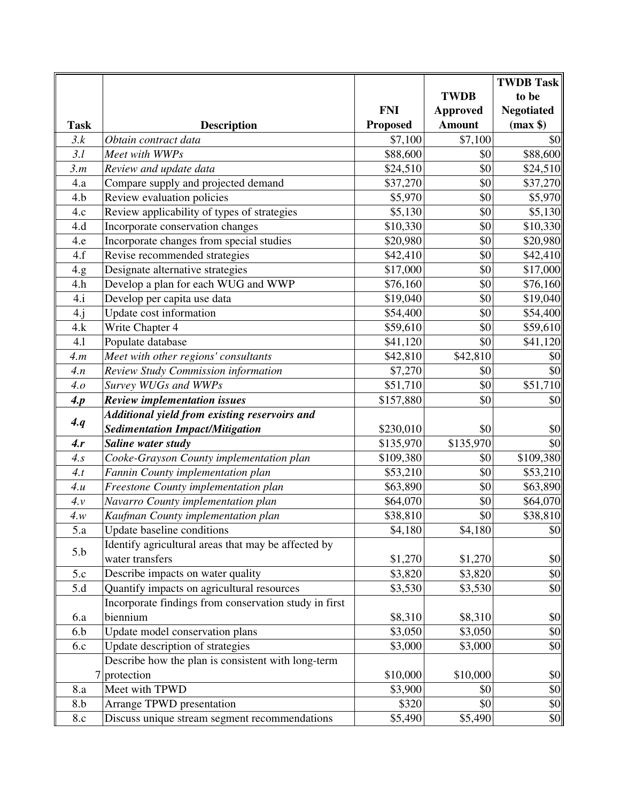|                |                                                       |                 |                 | <b>TWDB Task</b>  |
|----------------|-------------------------------------------------------|-----------------|-----------------|-------------------|
|                |                                                       |                 | <b>TWDB</b>     | to be             |
|                |                                                       | <b>FNI</b>      | <b>Approved</b> | <b>Negotiated</b> |
| <b>Task</b>    | <b>Description</b>                                    | <b>Proposed</b> | <b>Amount</b>   | (max \$)          |
| 3.k            | Obtain contract data                                  | \$7,100         | \$7,100         | \$0               |
| 3.l            | Meet with WWPs                                        | \$88,600        | \$0             | \$88,600          |
| 3.m            | Review and update data                                | \$24,510        | \$0             | \$24,510          |
| 4.a            | Compare supply and projected demand                   | \$37,270        | \$0             | \$37,270          |
| 4.b            | Review evaluation policies                            | \$5,970         | \$0             | \$5,970           |
| 4.c            | Review applicability of types of strategies           | \$5,130         | \$0             | \$5,130           |
| 4.d            | Incorporate conservation changes                      | \$10,330        | \$0             | \$10,330          |
| 4.e            | Incorporate changes from special studies              | \$20,980        | \$0             | \$20,980          |
| 4.f            | Revise recommended strategies                         | \$42,410        | \$0             | \$42,410          |
| 4.g            | Designate alternative strategies                      | \$17,000        | \$0             | \$17,000          |
| 4.h            | Develop a plan for each WUG and WWP                   | \$76,160        | \$0             | \$76,160          |
| 4.i            | Develop per capita use data                           | \$19,040        | \$0             | \$19,040          |
| 4.j            | Update cost information                               | \$54,400        | \$0             | \$54,400          |
| 4.k            | Write Chapter 4                                       | \$59,610        | \$0             | \$59,610          |
| 4.1            | Populate database                                     | \$41,120        | \$0             | \$41,120          |
| 4.m            | Meet with other regions' consultants                  | \$42,810        | \$42,810        | \$0               |
| 4.n            | Review Study Commission information                   | \$7,270         | \$0             | \$0               |
| 4.o            | Survey WUGs and WWPs                                  | \$51,710        | \$0             | \$51,710          |
| 4 <sub>p</sub> | <b>Review implementation issues</b>                   | \$157,880       | \$0             | \$0               |
|                | Additional yield from existing reservoirs and         |                 |                 |                   |
| 4. q           | <b>Sedimentation Impact/Mitigation</b>                | \$230,010       | \$0             | \$0               |
| 4.r            | Saline water study                                    | \$135,970       | \$135,970       | \$0               |
| 4s             | Cooke-Grayson County implementation plan              | \$109,380       | \$0             | \$109,380         |
| 4.t            | Fannin County implementation plan                     | \$53,210        | \$0             | \$53,210          |
| 4u             | Freestone County implementation plan                  | \$63,890        | \$0             | \$63,890          |
| $4\nu$         | Navarro County implementation plan                    | \$64,070        | \$0             | \$64,070          |
| 4 w            | Kaufman County implementation plan                    | \$38,810        | \$0             | \$38,810          |
| 5.a            | Update baseline conditions                            | \$4,180         | \$4,180         | \$0               |
| 5.b            | Identify agricultural areas that may be affected by   |                 |                 |                   |
|                | water transfers                                       | \$1,270         | \$1,270         | \$0               |
| 5.c            | Describe impacts on water quality                     | \$3,820         | \$3,820         | \$0               |
| 5.d            | Quantify impacts on agricultural resources            | \$3,530         | \$3,530         | \$0               |
|                | Incorporate findings from conservation study in first |                 |                 |                   |
| 6.a            | biennium                                              | \$8,310         | \$8,310         | \$0               |
| 6.b            | Update model conservation plans                       | \$3,050         | \$3,050         | \$0               |
| 6.c            | Update description of strategies                      | \$3,000         | \$3,000         | \$0               |
|                | Describe how the plan is consistent with long-term    |                 |                 |                   |
| 7              | protection                                            | \$10,000        | \$10,000        | \$0               |
| 8.a            | Meet with TPWD                                        | \$3,900         | \$0             | \$0               |
| 8.b            | Arrange TPWD presentation                             | \$320           | \$0             | \$0               |
| 8.c            | Discuss unique stream segment recommendations         | \$5,490         | \$5,490         | \$0               |